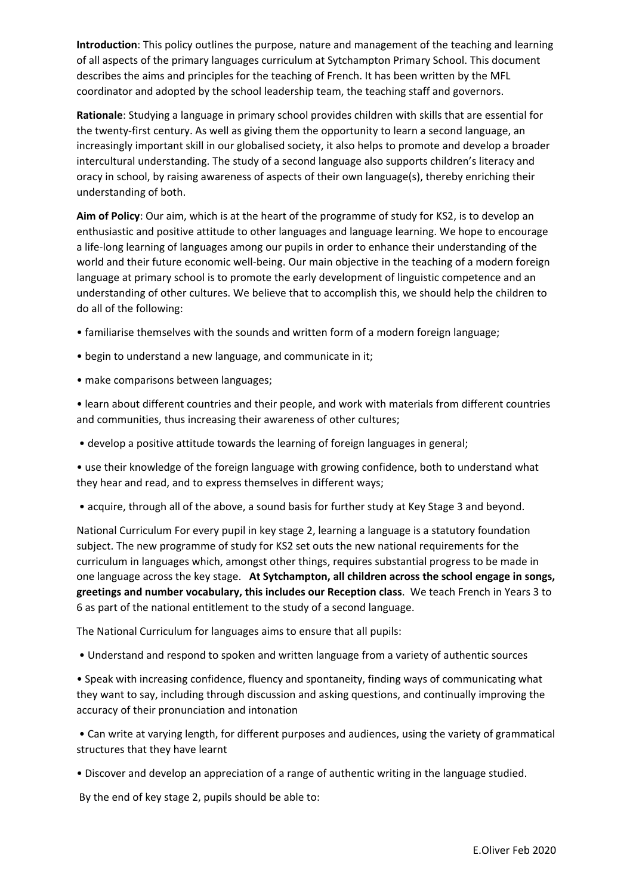**Introduction**: This policy outlines the purpose, nature and management of the teaching and learning of all aspects of the primary languages curriculum at Sytchampton Primary School. This document describes the aims and principles for the teaching of French. It has been written by the MFL coordinator and adopted by the school leadership team, the teaching staff and governors.

**Rationale**: Studying a language in primary school provides children with skills that are essential for the twenty-first century. As well as giving them the opportunity to learn a second language, an increasingly important skill in our globalised society, it also helps to promote and develop a broader intercultural understanding. The study of a second language also supports children's literacy and oracy in school, by raising awareness of aspects of their own language(s), thereby enriching their understanding of both.

**Aim of Policy**: Our aim, which is at the heart of the programme of study for KS2, is to develop an enthusiastic and positive attitude to other languages and language learning. We hope to encourage a life-long learning of languages among our pupils in order to enhance their understanding of the world and their future economic well-being. Our main objective in the teaching of a modern foreign language at primary school is to promote the early development of linguistic competence and an understanding of other cultures. We believe that to accomplish this, we should help the children to do all of the following:

- familiarise themselves with the sounds and written form of a modern foreign language;
- begin to understand a new language, and communicate in it;
- make comparisons between languages;

• learn about different countries and their people, and work with materials from different countries and communities, thus increasing their awareness of other cultures;

• develop a positive attitude towards the learning of foreign languages in general;

• use their knowledge of the foreign language with growing confidence, both to understand what they hear and read, and to express themselves in different ways;

• acquire, through all of the above, a sound basis for further study at Key Stage 3 and beyond.

National Curriculum For every pupil in key stage 2, learning a language is a statutory foundation subject. The new programme of study for KS2 set outs the new national requirements for the curriculum in languages which, amongst other things, requires substantial progress to be made in one language across the key stage. **At Sytchampton, all children across the school engage in songs, greetings and number vocabulary, this includes our Reception class**. We teach French in Years 3 to 6 as part of the national entitlement to the study of a second language.

The National Curriculum for languages aims to ensure that all pupils:

• Understand and respond to spoken and written language from a variety of authentic sources

• Speak with increasing confidence, fluency and spontaneity, finding ways of communicating what they want to say, including through discussion and asking questions, and continually improving the accuracy of their pronunciation and intonation

 • Can write at varying length, for different purposes and audiences, using the variety of grammatical structures that they have learnt

• Discover and develop an appreciation of a range of authentic writing in the language studied.

By the end of key stage 2, pupils should be able to: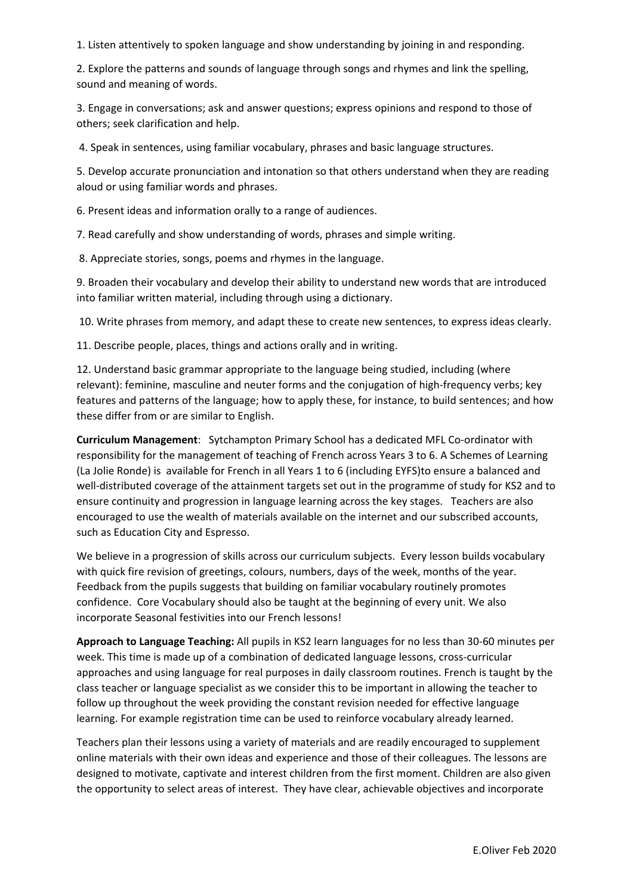1. Listen attentively to spoken language and show understanding by joining in and responding.

2. Explore the patterns and sounds of language through songs and rhymes and link the spelling, sound and meaning of words.

3. Engage in conversations; ask and answer questions; express opinions and respond to those of others; seek clarification and help.

4. Speak in sentences, using familiar vocabulary, phrases and basic language structures.

5. Develop accurate pronunciation and intonation so that others understand when they are reading aloud or using familiar words and phrases.

6. Present ideas and information orally to a range of audiences.

7. Read carefully and show understanding of words, phrases and simple writing.

8. Appreciate stories, songs, poems and rhymes in the language.

9. Broaden their vocabulary and develop their ability to understand new words that are introduced into familiar written material, including through using a dictionary.

10. Write phrases from memory, and adapt these to create new sentences, to express ideas clearly.

11. Describe people, places, things and actions orally and in writing.

12. Understand basic grammar appropriate to the language being studied, including (where relevant): feminine, masculine and neuter forms and the conjugation of high-frequency verbs; key features and patterns of the language; how to apply these, for instance, to build sentences; and how these differ from or are similar to English.

**Curriculum Management**: Sytchampton Primary School has a dedicated MFL Co-ordinator with responsibility for the management of teaching of French across Years 3 to 6. A Schemes of Learning (La Jolie Ronde) is available for French in all Years 1 to 6 (including EYFS)to ensure a balanced and well-distributed coverage of the attainment targets set out in the programme of study for KS2 and to ensure continuity and progression in language learning across the key stages. Teachers are also encouraged to use the wealth of materials available on the internet and our subscribed accounts, such as Education City and Espresso.

We believe in a progression of skills across our curriculum subjects. Every lesson builds vocabulary with quick fire revision of greetings, colours, numbers, days of the week, months of the year. Feedback from the pupils suggests that building on familiar vocabulary routinely promotes confidence. Core Vocabulary should also be taught at the beginning of every unit. We also incorporate Seasonal festivities into our French lessons!

**Approach to Language Teaching:** All pupils in KS2 learn languages for no less than 30-60 minutes per week. This time is made up of a combination of dedicated language lessons, cross-curricular approaches and using language for real purposes in daily classroom routines. French is taught by the class teacher or language specialist as we consider this to be important in allowing the teacher to follow up throughout the week providing the constant revision needed for effective language learning. For example registration time can be used to reinforce vocabulary already learned.

Teachers plan their lessons using a variety of materials and are readily encouraged to supplement online materials with their own ideas and experience and those of their colleagues. The lessons are designed to motivate, captivate and interest children from the first moment. Children are also given the opportunity to select areas of interest. They have clear, achievable objectives and incorporate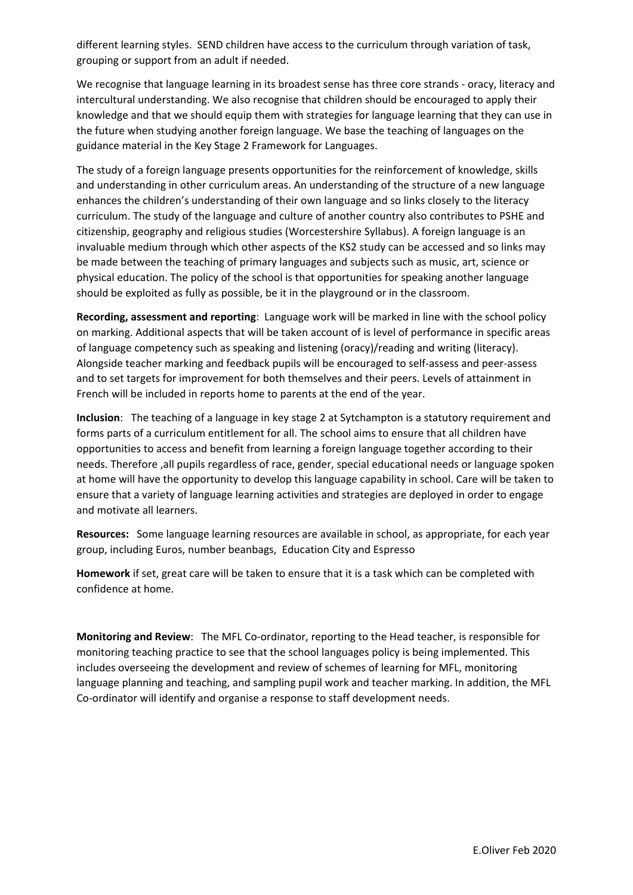different learning styles. SEND children have access to the curriculum through variation of task, grouping or support from an adult if needed.

We recognise that language learning in its broadest sense has three core strands - oracy, literacy and intercultural understanding. We also recognise that children should be encouraged to apply their knowledge and that we should equip them with strategies for language learning that they can use in the future when studying another foreign language. We base the teaching of languages on the guidance material in the Key Stage 2 Framework for Languages.

The study of a foreign language presents opportunities for the reinforcement of knowledge, skills and understanding in other curriculum areas. An understanding of the structure of a new language enhances the children's understanding of their own language and so links closely to the literacy curriculum. The study of the language and culture of another country also contributes to PSHE and citizenship, geography and religious studies (Worcestershire Syllabus). A foreign language is an invaluable medium through which other aspects of the KS2 study can be accessed and so links may be made between the teaching of primary languages and subjects such as music, art, science or physical education. The policy of the school is that opportunities for speaking another language should be exploited as fully as possible, be it in the playground or in the classroom.

**Recording, assessment and reporting**: Language work will be marked in line with the school policy on marking. Additional aspects that will be taken account of is level of performance in specific areas of language competency such as speaking and listening (oracy)/reading and writing (literacy). Alongside teacher marking and feedback pupils will be encouraged to self-assess and peer-assess and to set targets for improvement for both themselves and their peers. Levels of attainment in French will be included in reports home to parents at the end of the year.

**Inclusion**: The teaching of a language in key stage 2 at Sytchampton is a statutory requirement and forms parts of a curriculum entitlement for all. The school aims to ensure that all children have opportunities to access and benefit from learning a foreign language together according to their needs. Therefore ,all pupils regardless of race, gender, special educational needs or language spoken at home will have the opportunity to develop this language capability in school. Care will be taken to ensure that a variety of language learning activities and strategies are deployed in order to engage and motivate all learners.

**Resources:** Some language learning resources are available in school, as appropriate, for each year group, including Euros, number beanbags, Education City and Espresso

**Homework** if set, great care will be taken to ensure that it is a task which can be completed with confidence at home.

**Monitoring and Review**: The MFL Co-ordinator, reporting to the Head teacher, is responsible for monitoring teaching practice to see that the school languages policy is being implemented. This includes overseeing the development and review of schemes of learning for MFL, monitoring language planning and teaching, and sampling pupil work and teacher marking. In addition, the MFL Co-ordinator will identify and organise a response to staff development needs.